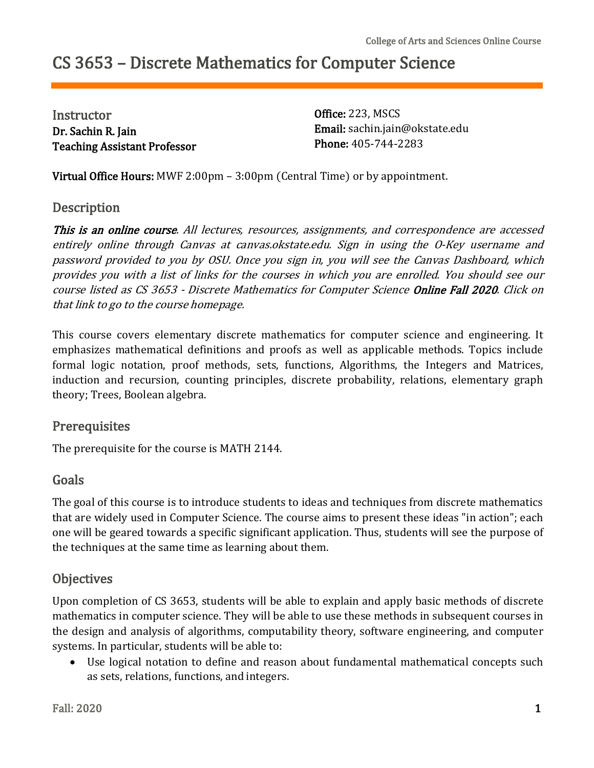# CS 3653 – Discrete Mathematics for Computer Science

**Instructor** Dr. Sachin R. Jain Teaching Assistant Professor Office: 223, MSCS Email: [sachin.jain@okstate.edu](mailto:sachin.jain@okstate.edu) Phone: 405-744-2283

Virtual Office Hours: MWF 2:00pm – 3:00pm (Central Time) or by appointment.

### **Description**

This is an online course. All lectures, resources, assignments, and correspondence are accessed entirely online through Canvas at canvas.okstate.edu. Sign in using the O-Key username and password provided to you by OSU. Once you sign in, you will see the Canvas Dashboard, which provides you with <sup>a</sup> list of links for the courses in which you are enrolled. You should see our course listed as CS 3653 - Discrete Mathematics for Computer Science Online Fall 2020. Click on that link to go to the course homepage.

This course covers elementary discrete mathematics for computer science and engineering. It emphasizes mathematical definitions and proofs as well as applicable methods. Topics include formal logic notation, proof methods, sets, functions, Algorithms, the Integers and Matrices, induction and recursion, counting principles, discrete probability, relations, elementary graph theory; Trees, Boolean algebra.

### **Prerequisites**

The prerequisite for the course is MATH 2144.

### Goals

The goal of this course is to introduce students to ideas and techniques from discrete mathematics that are widely used in Computer Science. The course aims to present these ideas "in action"; each one will be geared towards a specific significant application. Thus, students will see the purpose of the techniques at the same time as learning about them.

# **Objectives**

Upon completion of CS 3653, students will be able to explain and apply basic methods of discrete mathematics in computer science. They will be able to use these methods in subsequent courses in the design and analysis of algorithms, computability theory, software engineering, and computer systems. In particular, students will be able to:

 Use logical notation to define and reason about fundamental mathematical concepts such as sets, relations, functions, and integers.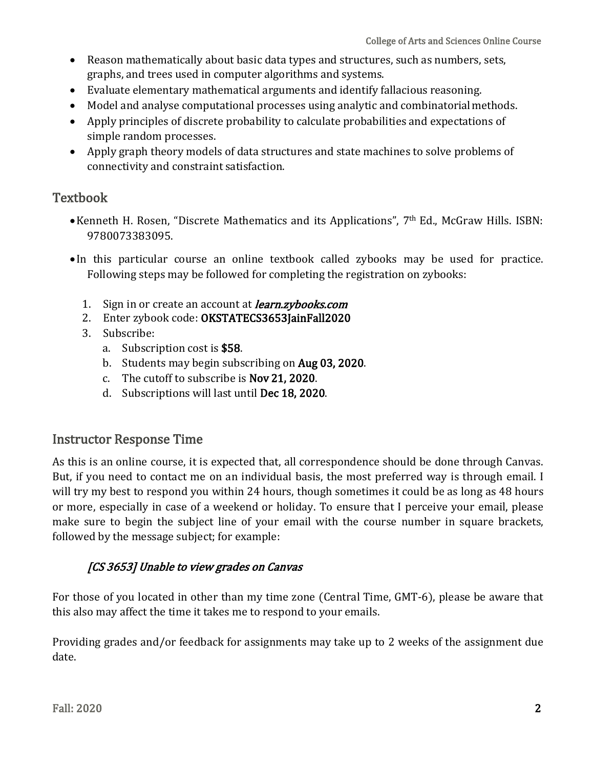- Reason mathematically about basic data types and structures, such as numbers, sets, graphs, and trees used in computer algorithms and systems.
- Evaluate elementary mathematical arguments and identify fallacious reasoning.
- Model and analyse computational processes using analytic and combinatorialmethods.
- Apply principles of discrete probability to calculate probabilities and expectations of simple random processes.
- Apply graph theory models of data structures and state machines to solve problems of connectivity and constraint satisfaction.

# **Textbook**

- Kenneth H. Rosen, "Discrete Mathematics and its Applications", 7 th Ed., McGraw Hills. ISBN: 9780073383095.
- In this particular course an online textbook called zybooks may be used for practice. Following steps may be followed for completing the registration on zybooks:
	- 1. Sign in or create an account at *learn.zybooks.com*
	- 2. Enter zybook code: OKSTATECS3653JainFall2020
	- 3. Subscribe:
		- a. Subscription cost is \$58.
		- b. Students may begin subscribing on Aug 03, 2020.
		- c. The cutoff to subscribe is Nov 21, 2020.
		- d. Subscriptions will last until Dec 18, 2020.

### Instructor Response Time

As this is an online course, it is expected that, all correspondence should be done through Canvas. But, if you need to contact me on an individual basis, the most preferred way is through email. I will try my best to respond you within 24 hours, though sometimes it could be as long as 48 hours or more, especially in case of a weekend or holiday. To ensure that I perceive your email, please make sure to begin the subject line of your email with the course number in square brackets, followed by the message subject; for example:

### [CS 3653] Unable to view grades on Canvas

For those of you located in other than my time zone (Central Time, GMT-6), please be aware that this also may affect the time it takes me to respond to your emails.

Providing grades and/or feedback for assignments may take up to 2 weeks of the assignment due date.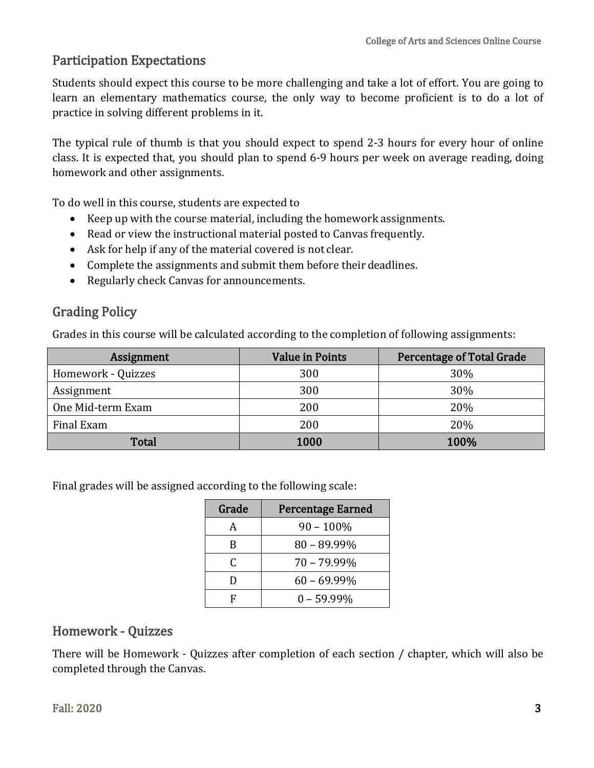# Participation Expectations

Students should expect this course to be more challenging and take a lot of effort. You are going to learn an elementary mathematics course, the only way to become proficient is to do a lot of practice in solving different problems in it.

The typical rule of thumb is that you should expect to spend 2-3 hours for every hour of online class. It is expected that, you should plan to spend 6-9 hours per week on average reading, doing homework and other assignments.

To do well in this course, students are expected to

- Keep up with the course material, including the homework assignments.
- Read or view the instructional material posted to Canvas frequently.
- Ask for help if any of the material covered is not clear.
- Complete the assignments and submit them before their deadlines.
- Regularly check Canvas for announcements.

# Grading Policy

Grades in this course will be calculated according to the completion of following assignments:

| Assignment         | <b>Value in Points</b> | Percentage of Total Grade |
|--------------------|------------------------|---------------------------|
| Homework - Quizzes | 300                    | 30%                       |
| Assignment         | 300                    | 30%                       |
| One Mid-term Exam  | 200                    | 20%                       |
| Final Exam         | 200                    | 20%                       |
| <b>Total</b>       | 1000                   | 100%                      |

Final grades will be assigned according to the following scale:

| Grade | <b>Percentage Earned</b> |
|-------|--------------------------|
| A     | $90 - 100\%$             |
| B     | $80 - 89.99\%$           |
| C     | $70 - 79.99\%$           |
| D     | $60 - 69.99\%$           |
| F     | $0 - 59.99\%$            |

# Homework - Quizzes

There will be Homework - Quizzes after completion of each section / chapter, which will also be completed through the Canvas.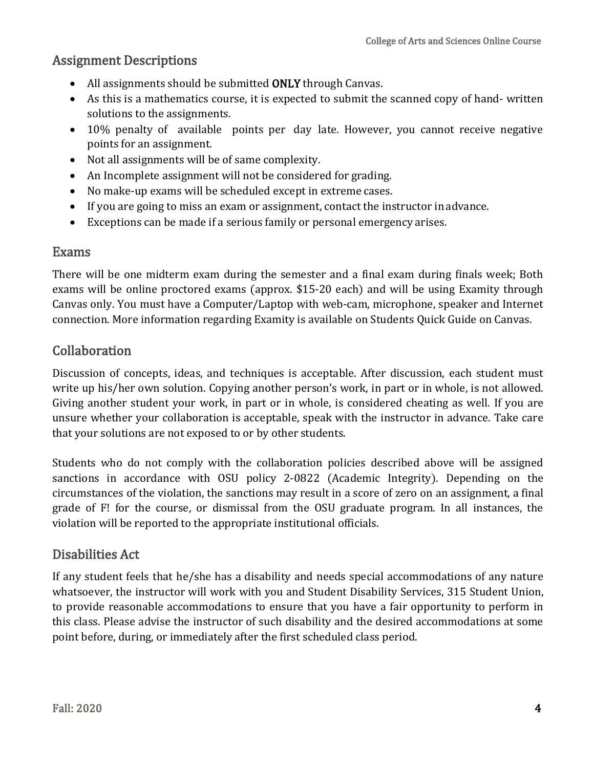### Assignment Descriptions

- All assignments should be submitted ONLY through Canvas.
- As this is a mathematics course, it is expected to submit the scanned copy of hand- written solutions to the assignments.
- 10% penalty of available points per day late. However, you cannot receive negative points for an assignment.
- Not all assignments will be of same complexity.
- An Incomplete assignment will not be considered for grading.
- No make-up exams will be scheduled except in extreme cases.
- If you are going to miss an exam or assignment, contact the instructor inadvance.
- Exceptions can be made if a serious family or personal emergency arises.

### Exams

There will be one midterm exam during the semester and a final exam during finals week; Both exams will be online proctored exams (approx. \$15-20 each) and will be using Examity through Canvas only. You must have a Computer/Laptop with web-cam, microphone, speaker and Internet connection. More information regarding Examity is available on Students Quick Guide on Canvas.

# Collaboration

Discussion of concepts, ideas, and techniques is acceptable. After discussion, each student must write up his/her own solution. Copying another person's work, in part or in whole, is not allowed. Giving another student your work, in part or in whole, is considered cheating as well. If you are unsure whether your collaboration is acceptable, speak with the instructor in advance. Take care that your solutions are not exposed to or by other students.

Students who do not comply with the collaboration policies described above will be assigned sanctions in accordance with OSU policy 2-0822 (Academic Integrity). Depending on the circumstances of the violation, the sanctions may result in a score of zero on an assignment, a final grade of F! for the course, or dismissal from the OSU graduate program. In all instances, the violation will be reported to the appropriate institutional officials.

# Disabilities Act

If any student feels that he/she has a disability and needs special accommodations of any nature whatsoever, the instructor will work with you and Student Disability Services, 315 Student Union, to provide reasonable accommodations to ensure that you have a fair opportunity to perform in this class. Please advise the instructor of such disability and the desired accommodations at some point before, during, or immediately after the first scheduled class period.